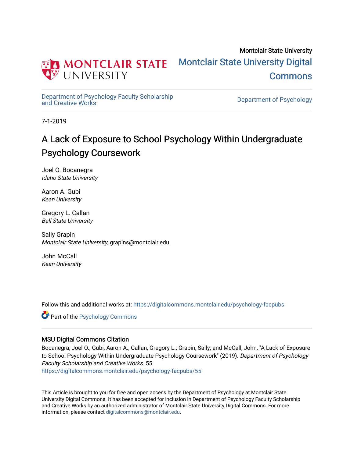

Montclair State University [Montclair State University Digital](https://digitalcommons.montclair.edu/)  [Commons](https://digitalcommons.montclair.edu/) 

[Department of Psychology Faculty Scholarship](https://digitalcommons.montclair.edu/psychology-facpubs) 

Department of Psychology

7-1-2019

# A Lack of Exposure to School Psychology Within Undergraduate Psychology Coursework

Joel O. Bocanegra Idaho State University

Aaron A. Gubi Kean University

Gregory L. Callan Ball State University

Sally Grapin Montclair State University, grapins@montclair.edu

John McCall Kean University

Follow this and additional works at: [https://digitalcommons.montclair.edu/psychology-facpubs](https://digitalcommons.montclair.edu/psychology-facpubs?utm_source=digitalcommons.montclair.edu%2Fpsychology-facpubs%2F55&utm_medium=PDF&utm_campaign=PDFCoverPages) 

**C** Part of the Psychology Commons

# MSU Digital Commons Citation

Bocanegra, Joel O.; Gubi, Aaron A.; Callan, Gregory L.; Grapin, Sally; and McCall, John, "A Lack of Exposure to School Psychology Within Undergraduate Psychology Coursework" (2019). Department of Psychology Faculty Scholarship and Creative Works. 55.

[https://digitalcommons.montclair.edu/psychology-facpubs/55](https://digitalcommons.montclair.edu/psychology-facpubs/55?utm_source=digitalcommons.montclair.edu%2Fpsychology-facpubs%2F55&utm_medium=PDF&utm_campaign=PDFCoverPages)

This Article is brought to you for free and open access by the Department of Psychology at Montclair State University Digital Commons. It has been accepted for inclusion in Department of Psychology Faculty Scholarship and Creative Works by an authorized administrator of Montclair State University Digital Commons. For more information, please contact [digitalcommons@montclair.edu](mailto:digitalcommons@montclair.edu).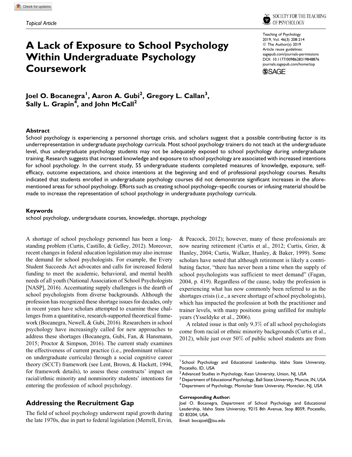**SOCIETY FOR THE TEACHING** OF PSYCHOLOGY

# A Lack of Exposure to School Psychology Within Undergraduate Psychology Coursework

Teaching of Psychology 2019, Vol. 46(3) 208-214 © The Author(s) 2019 Article reuse guidelines: [sagepub.com/journals-permissions](https://sagepub.com/journals-permissions) [DOI: 10.1177/0098628319848876](https://doi.org/10.1177/0098628319848876) [journals.sagepub.com/home/top](http://journals.sagepub.com/home/top)



Joel O. Bocanegra<sup>l</sup>, Aaron A. Gubi<sup>2</sup>, Gregory L. Callan<sup>3</sup>, Sally L. Grapin $^{\overline{4}},$  and John McCall $^2$ 

#### Abstract

School psychology is experiencing a personnel shortage crisis, and scholars suggest that a possible contributing factor is its underrepresentation in undergraduate psychology curricula. Most school psychology trainers do not teach at the undergraduate level, thus undergraduate psychology students may not be adequately exposed to school psychology during undergraduate training. Research suggests that increased knowledge and exposure to school psychology are associated with increased intentions for school psychology. In the current study, 55 undergraduate students completed measures of knowledge, exposure, selfefficacy, outcome expectations, and choice intentions at the beginning and end of professional psychology courses. Results indicated that students enrolled in undergraduate psychology courses did not demonstrate significant increases in the aforementioned areas for school psychology. Efforts such as creating school psychology–specific courses or infusing material should be made to increase the representation of school psychology in undergraduate psychology curricula.

#### Keywords

school psychology, undergraduate courses, knowledge, shortage, psychology

A shortage of school psychology personnel has been a longstanding problem (Curtis, Castillo, & Gelley, 2012). Moreover, recent changes in federal education legislation may also increase the demand for school psychologists. For example, the Every Student Succeeds Act advocates and calls for increased federal funding to meet the academic, behavioral, and mental health needs of all youth (National Association of School Psychologists [NASP], 2016). Accentuating supply challenges is the dearth of school psychologists from diverse backgrounds. Although the profession has recognized these shortage issues for decades, only in recent years have scholars attempted to examine these challenges from a quantitative, research-supported theoretical framework (Bocanegra, Newell, & Gubi, 2016). Researchers in school psychology have increasingly called for new approaches to address these shortages (Bocanegra, Gubi, Fan, & Hansmann, 2015; Proctor & Simpson, 2016). The current study examines the effectiveness of current practice (i.e., predominant reliance on undergraduate curricula) through a social cognitive career theory (SCCT) framework (see Lent, Brown, & Hackett, 1994, for framework details), to assess these constructs' impact on racial/ethnic minority and nonminority students' intentions for entering the profession of school psychology.

## Addressing the Recruitment Gap

The field of school psychology underwent rapid growth during the late 1970s, due in part to federal legislation (Merrell, Ervin, & Peacock, 2012); however, many of these professionals are now nearing retirement (Curtis et al., 2012; Curtis, Grier, & Hunley, 2004; Curtis, Walker, Hunley, & Baker, 1999). Some scholars have noted that although retirement is likely a contributing factor, "there has never been a time when the supply of school psychologists was sufficient to meet demand" (Fagan, 2004, p. 419). Regardless of the cause, today the profession is experiencing what has now commonly been referred to as the shortages crisis (i.e., a severe shortage of school psychologists), which has impacted the profession at both the practitioner and trainer levels, with many positions going unfilled for multiple years (Ysseldyke et al., 2006).

A related issue is that only 9.3% of all school psychologists come from racial or ethnic minority backgrounds (Curtis et al., 2012), while just over 50% of public school students are from

#### Corresponding Author:

Email: [bocajoel@isu.edu](mailto:bocajoel@isu.edu)

<sup>&</sup>lt;sup>1</sup> School Psychology and Educational Leadership, Idaho State University, Pocatello, ID, USA

 $2$  Advanced Studies in Psychology, Kean University, Union, NJ, USA

<sup>&</sup>lt;sup>3</sup> Department of Educational Psychology, Ball State University, Muncie, IN, USA <sup>4</sup> Department of Psychology, Montclair State University, Montclair, NJ, USA

Joel O. Bocanegra, Department of School Psychology and Educational Leadership, Idaho State University, 921S 8th Avenue, Stop 8059, Pocatello, ID 83204, USA.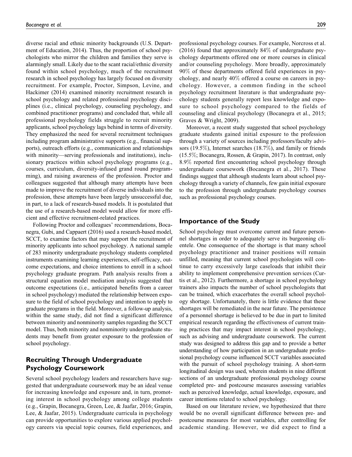diverse racial and ethnic minority backgrounds (U.S. Department of Education, 2014). Thus, the proportion of school psychologists who mirror the children and families they serve is alarmingly small. Likely due to the scant racial/ethnic diversity found within school psychology, much of the recruitment research in school psychology has largely focused on diversity recruitment. For example, Proctor, Simpson, Levine, and Hackimer (2014) examined minority recruitment research in school psychology and related professional psychology disciplines (i.e., clinical psychology, counseling psychology, and combined practitioner programs) and concluded that, while all professional psychology fields struggle to recruit minority applicants, school psychology lags behind in terms of diversity. They emphasized the need for several recruitment techniques including program administrative supports (e.g., financial supports), outreach efforts (e.g., communication and relationships with minority—serving professionals and institutions), inclusionary practices within school psychology programs (e.g., courses, curriculum, diversity-infused grand round programming), and raising awareness of the profession. Proctor and colleagues suggested that although many attempts have been made to improve the recruitment of diverse individuals into the profession, these attempts have been largely unsuccessful due, in part, to a lack of research-based models. It is postulated that the use of a research-based model would allow for more efficient and effective recruitment-related practices.

Following Proctor and colleagues' recommendations, Bocanegra, Gubi, and Cappaert (2016) used a research-based model, SCCT, to examine factors that may support the recruitment of minority applicants into school psychology. A national sample of 283 minority undergraduate psychology students completed instruments examining learning experiences, self-efficacy, outcome expectations, and choice intentions to enroll in a school psychology graduate program. Path analysis results from a structural equation model mediation analysis suggested that outcome expectations (i.e., anticipated benefits from a career in school psychology) mediated the relationship between exposure to the field of school psychology and intention to apply to graduate programs in the field. Moreover, a follow-up analysis, within the same study, did not find a significant difference between minority and nonminority samples regarding the SCCT model. Thus, both minority and nonminority undergraduate students may benefit from greater exposure to the profession of school psychology.

# Recruiting Through Undergraduate Psychology Coursework

Several school psychology leaders and researchers have suggested that undergraduate coursework may be an ideal venue for increasing knowledge and exposure and, in turn, promoting interest in school psychology among college students (e.g., Grapin, Bocanegra, Green, Lee, & Jaafar, 2016; Grapin, Lee, & Jaafar, 2015). Undergraduate curricula in psychology can provide opportunities to explore various applied psychology careers via special topic courses, field experiences, and

professional psychology courses. For example, Norcross et al. (2016) found that approximately 84% of undergraduate psychology departments offered one or more courses in clinical and/or counseling psychology. More broadly, approximately 90% of these departments offered field experiences in psychology, and nearly 40% offered a course on careers in psychology. However, a common finding in the school psychology recruitment literature is that undergraduate psychology students generally report less knowledge and exposure to school psychology compared to the fields of counseling and clinical psychology (Bocanegra et al., 2015; Graves & Wright, 2009).

Moreover, a recent study suggested that school psychology graduate students gained initial exposure to the profession through a variety of sources including professors/faculty advisors (19.5%), Internet searches (18.7%), and family or friends (15.5%; Bocanegra, Rossen, & Grapin, 2017). In contrast, only 8.9% reported first encountering school psychology through undergraduate coursework (Bocanegra et al., 2017). These findings suggest that although students learn about school psychology through a variety of channels, few gain initial exposure to the profession through undergraduate psychology courses such as professional psychology courses.

## Importance of the Study

School psychology must overcome current and future personnel shortages in order to adequately serve its burgeoning clientele. One consequence of the shortage is that many school psychology practitioner and trainer positions will remain unfilled, meaning that current school psychologists will continue to carry excessively large caseloads that inhibit their ability to implement comprehensive prevention services (Curtis et al., 2012). Furthermore, a shortage in school psychology trainers also impacts the number of school psychologists that can be trained, which exacerbates the overall school psychology shortage. Unfortunately, there is little evidence that these shortages will be remediated in the near future. The persistence of a personnel shortage is believed to be due in part to limited empirical research regarding the effectiveness of current training practices that may impact interest in school psychology, such as advising and undergraduate coursework. The current study was designed to address this gap and to provide a better understanding of how participation in an undergraduate professional psychology course influenced SCCT variables associated with the pursuit of school psychology training. A short-term longitudinal design was used, wherein students in nine different sections of an undergraduate professional psychology course completed pre- and postcourse measures assessing variables such as perceived knowledge, actual knowledge, exposure, and career intentions related to school psychology.

Based on our literature review, we hypothesized that there would be no overall significant difference between pre- and postcourse measures for most variables, after controlling for academic standing. However, we did expect to find a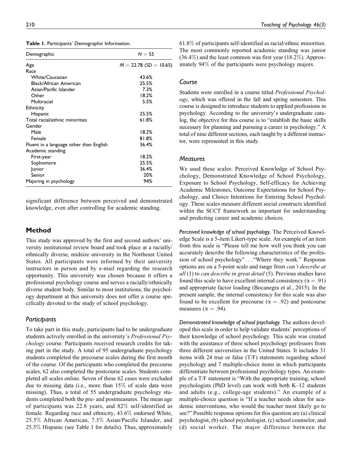| Demographic                             | $N = 55$                 |
|-----------------------------------------|--------------------------|
| Age                                     | $M = 22.78$ (SD = 10.65) |
| Race                                    |                          |
| White/Caucasian                         | 43.6%                    |
| Black/African American                  | 25.5%                    |
| Asian/Pacific Islander                  | 7.3%                     |
| Other                                   | 18.2%                    |
| Multiracial                             | 5.5%                     |
| <b>Ethnicity</b>                        |                          |
| Hispanic                                | 25.5%                    |
| Total racial/ethnic minorities          | 61.8%                    |
| Gender                                  |                          |
| Male                                    | 18.2%                    |
| Female                                  | 81.8%                    |
| Fluent in a language other than English | 36.4%                    |
| Academic standing                       |                          |
| First-year                              | 18.2%                    |
| Sophomore                               | 25.5%                    |
| <b>Junior</b>                           | 36.4%                    |
| Senior                                  | 20%                      |
| Majoring in psychology                  | 94%                      |

Table 1. Participants' Demographic Information.

significant difference between perceived and demonstrated knowledge, even after controlling for academic standing.

# Method

This study was approved by the first and second authors' university institutional review board and took place at a racially/ ethnically diverse, midsize university in the Northeast United States. All participants were informed by their university instructors in person and by e-mail regarding the research opportunity. This university was chosen because it offers a professional psychology course and serves a racially/ethnically diverse student body. Similar to most institutions, the psychology department at this university does not offer a course specifically devoted to the study of school psychology.

### Participants

To take part in this study, participants had to be undergraduate students actively enrolled in the university's Professional Psychology course. Participants received research credits for taking part in the study. A total of 95 undergraduate psychology students completed the precourse scales during the first month of the course. Of the participants who completed the precourse scales, 62 also completed the postcourse scales. Students completed all scales online. Seven of these 62 cases were excluded due to missing data (i.e., more than 15% of scale data were missing). Thus, a total of 55 undergraduate psychology students completed both the pre- and postmeasures. The mean age of participants was 22.8 years, and 82% self-identified as female. Regarding race and ethnicity, 43.6% endorsed White, 25.5% African American, 7.3% Asian/Pacific Islander, and 25.5% Hispanic (see Table 1 for details). Thus, approximately

61.8% of participants self-identified as racial/ethnic minorities. The most commonly reported academic standing was junior  $(36.4\%)$  and the least common was first year  $(18.2\%)$ . Approximately 94% of the participants were psychology majors.

# Course

Students were enrolled in a course titled Professional Psychology, which was offered in the fall and spring semesters. This course is designed to introduce students to applied professions in psychology. According to the university's undergraduate catalog, the objective for this course is to "establish the basic skills necessary for planning and pursuing a career in psychology." A total of nine different sections, each taught by a different instructor, were represented in this study.

## **Measures**

We used these scales: Perceived Knowledge of School Psychology, Demonstrated Knowledge of School Psychology, Exposure to School Psychology, Self-efficacy for Achieving Academic Milestones, Outcome Expectations for School Psychology, and Choice Intentions for Entering School Psychology. These scales measure different social constructs identified within the SCCT framework as important for understanding and predicting career and academic choices.

Perceived knowledge of school psychology. The Perceived Knowledge Scale is a 5-item Likert-type scale. An example of an item from this scale is "Please tell me how well you think you can accurately describe the following characteristics of the profession of school psychology" ... "Where they work." Response options are on a 5-point scale and range from can't describe at  $all (1)$  to can describe in great detail  $(5)$ . Previous studies have found this scale to have excellent internal consistency ( $\alpha = .91$ ) and appropriate factor loading (Bocanegra et al., 2015). In the present sample, the internal consistency for this scale was also found to be excellent for precourse ( $\alpha = .92$ ) and postcourse measures ( $\alpha = .94$ ).

Demonstrated knowledge of school psychology. The authors developed this scale in order to help validate students' perceptions of their knowledge of school psychology. This scale was created with the assistance of three school psychology professors from three different universities in the United States. It includes 31 items with 24 true or false (T/F) statements regarding school psychology and 7 multiple-choice items in which participants differentiate between professional psychology types. An example of a T/F statement is "With the appropriate training, school psychologists (PhD level) can work with both K–12 students and adults (e.g., college-age students)." An example of a multiple-choice question is "If a teacher needs ideas for academic interventions, who would the teacher most likely go to see?" Possible response options for this question are (a) clinical psychologist, (b) school psychologist, (c) school counselor, and (d) social worker. The major difference between the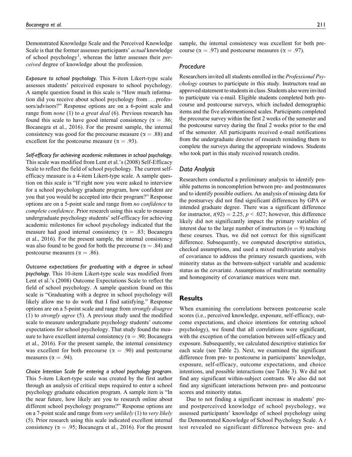Demonstrated Knowledge Scale and the Perceived Knowledge Scale is that the former assesses participants' actual knowledge of school psychology<sup>1</sup>, whereas the latter assesses their perceived degree of knowledge about the profession.

Exposure to school psychology. This 8-item Likert-type scale assesses students' perceived exposure to school psychology. A sample question found in this scale is "How much information did you receive about school psychology from ... professors/advisors?" Response options are on a 6-point scale and range from *none* (1) to a great deal (6). Previous research has found this scale to have good internal consistency ( $\alpha = .86$ ; Bocanegra et al., 2016). For the present sample, the internal consistency was good for the precourse measure ( $\alpha = .88$ ) and excellent for the postcourse measure ( $\alpha = .93$ ).

Self-efficacy for achieving academic milestones in school psychology. This scale was modified from Lent et al.'s (2008) Self-Efficacy Scale to reflect the field of school psychology. The current selfefficacy measure is a 4-item Likert-type scale. A sample question on this scale is "If right now you were asked to interview for a school psychology graduate program, how confident are you that you would be accepted into their program?" Response options are on a 5-point scale and range from no confidence to complete confidence. Prior research using this scale to measure undergraduate psychology students' self-efficacy for achieving academic milestones for school psychology indicated that the measure had good internal consistency ( $\alpha = .83$ ; Bocanegra et al., 2016). For the present sample, the internal consistency was also found to be good for both the precourse ( $\alpha = .84$ ) and postcourse measures ( $\alpha = .86$ ).

Outcome expectations for graduating with a degree in school psychology. This 10-item Likert-type scale was modified from Lent et al.'s (2008) Outcome Expectations Scale to reflect the field of school psychology. A sample question found on this scale is "Graduating with a degree in school psychology will likely allow me to do work that I find satisfying." Response options are on a 5-point scale and range from strongly disagree (1) to strongly agree (5). A previous study used the modified scale to measure undergraduate psychology students' outcome expectations for school psychology. That study found the measure to have excellent internal consistency ( $\alpha = .90$ ; Bocanegra et al., 2016). For the present sample, the internal consistency was excellent for both precourse ( $\alpha = .90$ ) and postcourse measures ( $\alpha = .94$ ).

Choice Intention Scale for entering a school psychology program. This 5-item Likert-type scale was created by the first author through an analysis of critical steps required to enter a school psychology graduate education program. A sample item is "In the near future, how likely are you to research online about different school psychology programs?" Response options are on a 7-point scale and range from very unlikely (1) to very likely (5). Prior research using this scale indicated excellent internal consistency ( $\alpha = .95$ ; Bocanegra et al., 2016). For the present

sample, the internal consistency was excellent for both precourse ( $\alpha = .97$ ) and postcourse measures ( $\alpha = .97$ ).

### Procedure

Researchers invited all students enrolled in the Professional Psychology courses to participate in this study. Instructors read an approved statement to students in class. Students also were invited to participate via e-mail. Eligible students completed both precourse and postcourse surveys, which included demographic items and the five aforementioned scales. Participants completed the precourse survey within the first 2 weeks of the semester and the postcourse survey during the final 2 weeks prior to the end of the semester. All participants received e-mail notifications from the undergraduate director of research reminding them to complete the surveys during the appropriate windows. Students who took part in this study received research credits.

### Data Analysis

Researchers conducted a preliminary analysis to identify possible patterns in noncompletion between pre- and postmeasures and to identify possible outliers. An analysis of missing data for the postsurvey did not find significant differences by GPA or intended graduate degree. There was a significant difference for instructor,  $t(92) = 2.25$ ,  $p < .027$ ; however, this difference likely did not significantly impact the primary variables of interest due to the large number of instructors ( $n = 9$ ) teaching these courses. Thus, we did not correct for this significant difference. Subsequently, we computed descriptive statistics, checked assumptions, and used a mixed multivariate analysis of covariance to address the primary research questions, with minority status as the between-subject variable and academic status as the covariate. Assumptions of multivariate normality and homogeneity of covariance matrices were met.

## Results

When examining the correlations between postcourse scale scores (i.e., perceived knowledge, exposure, self-efficacy, outcome expectations, and choice intentions for entering school psychology), we found that all correlations were significant, with the exception of the correlation between self-efficacy and exposure. Subsequently, we calculated descriptive statistics for each scale (see Table 2). Next, we examined the significant difference from pre- to postcourse in participants' knowledge, exposure, self-efficacy, outcome expectations, and choice intentions, and possible interactions (see Table 3). We did not find any significant within-subject contrasts. We also did not find any significant interactions between pre- and postcourse scores and minority status.

Due to not finding a significant increase in students' preand postperceived knowledge of school psychology, we assessed participants' knowledge of school psychology using the Demonstrated Knowledge of School Psychology Scale. A t test revealed no significant difference between pre- and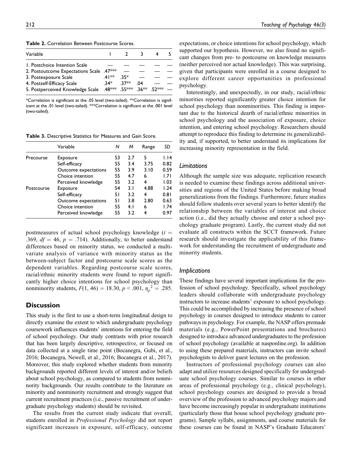Table 2. Correlation Between Postcourse Scores.

| Variable                                 |                    |        |    |            |  |
|------------------------------------------|--------------------|--------|----|------------|--|
| 1. Postchoice Intention Scale            |                    |        |    |            |  |
| 2. Postoutcome Expectations Scale .47*** |                    |        |    |            |  |
| 3. Postexposure Scale                    | .4   **            | $35*$  |    |            |  |
| 4. Postself-Efficacy Scale               | ่ 34*              | 37**   | 04 |            |  |
| 5. Postperceived Knowledge Scale         | .48 <sup></sup> ≉≫ | .55*** |    | י≫אביר, אי |  |

\*Correlation is significant at the .05 level (two-tailed). \*\*Correlation is significant at the .01 level (two-tailed). \*\*\*Correlation is significant at the .001 level (two-tailed).

Table 3. Descriptive Statistics for Measures and Gain Score.

|            | Variable             | N  | м   | Range | SD   |
|------------|----------------------|----|-----|-------|------|
| Precourse  | Exposure             | 53 | 2.7 | 5     | 1.14 |
|            | Self-efficacy        | 55 | 3.4 | 3.75  | 0.82 |
|            | Outcome expectations | 55 | 3.9 | 3.10  | 0.59 |
|            | Choice intention     | 55 | 4.7 | 6     | 1.71 |
|            | Perceived knowledge  | 55 | 3.2 | 4     | 1.03 |
| Postcourse | Exposure             | 54 | 3.1 | 4.88  | 1.24 |
|            | Self-efficacy        | 51 | 3.2 | 4     | 0.81 |
|            | Outcome expectations | 51 | 3.8 | 2.80  | 0.63 |
|            | Choice intention     | 55 | 4.1 | 6     | 1.74 |
|            | Perceived knowledge  | 55 | 3.2 | 4     | 0.97 |

postmeasures of actual school psychology knowledge  $(t =$ .369,  $df = 46$ ,  $p = .714$ ). Additionally, to better understand differences based on minority status, we conducted a multivariate analysis of variance with minority status as the between-subject factor and postcourse scale scores as the dependent variables. Regarding postcourse scale scores, racial/ethnic minority students were found to report significantly higher choice intentions for school psychology than nonminority students,  $F(1, 46) = 18.30, p < .001, \eta_p^2 = .285$ .

# **Discussion**

This study is the first to use a short-term longitudinal design to directly examine the extent to which undergraduate psychology coursework influences students' intentions for entering the field of school psychology. Our study contrasts with prior research that has been largely descriptive, retrospective, or focused on data collected at a single time point (Bocanegra, Gubi, et al., 2016; Bocanegra, Newell, et al., 2016; Bocanegra et al., 2017). Moreover, this study explored whether students from minority backgrounds reported different levels of interest and/or beliefs about school psychology, as compared to students from nonminority backgrounds. Our results contribute to the literature on minority and nonminority recruitment and strongly suggest that current recruitment practices (i.e., passive recruitment of undergraduate psychology students) should be revisited.

The results from the current study indicate that overall, students enrolled in Professional Psychology did not report significant increases in exposure, self-efficacy, outcome

expectations, or choice intentions for school psychology, which supported our hypothesis. However, we also found no significant changes from pre- to postcourse on knowledge measures (neither perceived nor actual knowledge). This was surprising, given that participants were enrolled in a course designed to explore different career opportunities in professional psychology.

Interestingly, and unexpectedly, in our study, racial/ethnic minorities reported significantly greater choice intention for school psychology than nonminorities. This finding is important due to the historical dearth of racial/ethnic minorities in school psychology and the association of exposure, choice intention, and entering school psychology. Researchers should attempt to reproduce this finding to determine its generalizability and, if supported, to better understand its implications for increasing minority representation in the field.

### Limitations

Although the sample size was adequate, replication research is needed to examine these findings across additional universities and regions of the United States before making broad generalizations from the findings. Furthermore, future studies should follow students over several years to better identify the relationship between the variables of interest and choice action (i.e., did they actually choose and enter a school psychology graduate program). Lastly, the current study did not evaluate all constructs within the SCCT framework. Future research should investigate the applicability of this framework for understanding the recruitment of undergraduate and minority students.

### Implications

These findings have several important implications for the profession of school psychology. Specifically, school psychology leaders should collaborate with undergraduate psychology instructors to increase students' exposure to school psychology. This could be accomplished by increasing the presence of school psychology in courses designed to introduce students to career pathways in psychology. For example, the NASP offers premade materials (e.g., PowerPoint presentations and brochures) designed to introduce advanced undergraduates to the profession of school psychology (available at nasponline.org). In addition to using these prepared materials, instructors can invite school psychologists to deliver guest lectures on the profession.

Instructors of professional psychology courses can also adapt and utilize resources designed specifically for undergraduate school psychology courses. Similar to courses in other areas of professional psychology (e.g., clinical psychology), school psychology courses are designed to provide a broad overview of the profession to advanced psychology majors and have become increasingly popular in undergraduate institutions (particularly those that house school psychology graduate programs). Sample syllabi, assignments, and course materials for these courses can be found in NASP's Graduate Educators'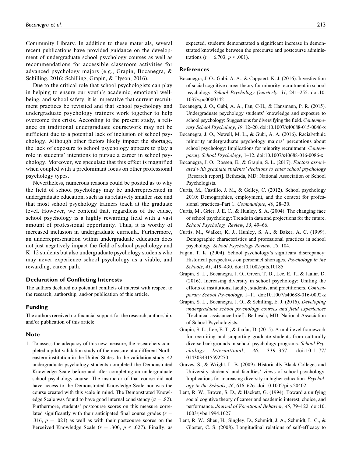Community Library. In addition to these materials, several recent publications have provided guidance on the development of undergraduate school psychology courses as well as recommendations for accessible classroom activities for advanced psychology majors (e.g., Grapin, Bocanegra, & Schilling, 2016; Schilling, Grapin, & Hyson, 2016).

Due to the critical role that school psychologists can play in helping to ensure our youth's academic, emotional wellbeing, and school safety, it is imperative that current recruitment practices be revisited and that school psychology and undergraduate psychology trainers work together to help overcome this crisis. According to the present study, a reliance on traditional undergraduate coursework may not be sufficient due to a potential lack of inclusion of school psychology. Although other factors likely impact the shortage, the lack of exposure to school psychology appears to play a role in students' intentions to pursue a career in school psychology. Moreover, we speculate that this effect is magnified when coupled with a predominant focus on other professional psychology types.

Nevertheless, numerous reasons could be posited as to why the field of school psychology may be underrepresented in undergraduate education, such as its relatively smaller size and that most school psychology trainers teach at the graduate level. However, we contend that, regardless of the cause, school psychology is a highly rewarding field with a vast amount of professional opportunity. Thus, it is worthy of increased inclusion in undergraduate curricula. Furthermore, an underrepresentation within undergraduate education does not just negatively impact the field of school psychology and K–12 students but also undergraduate psychology students who may never experience school psychology as a viable, and rewarding, career path.

#### Declaration of Conflicting Interests

The authors declared no potential conflicts of interest with respect to the research, authorship, and/or publication of this article.

#### Funding

The authors received no financial support for the research, authorship, and/or publication of this article.

#### **Note**

1. To assess the adequacy of this new measure, the researchers completed a pilot validation study of the measure at a different Northeastern institution in the United States. In the validation study, 42 undergraduate psychology students completed the Demonstrated Knowledge Scale before and after completing an undergraduate school psychology course. The instructor of that course did not have access to the Demonstrated Knowledge Scale nor was the course created with this scale in mind. The Demonstrated Knowledge Scale was found to have good internal consistency ( $\alpha = .82$ ). Furthermore, students' postcourse scores on this measure correlated significantly with their anticipated final course grades ( $r =$ .316,  $p = .021$ ) as well as with their postcourse scores on the Perceived Knowledge Scale ( $r = .300$ ,  $p < .027$ ). Finally, as

expected, students demonstrated a significant increase in demonstrated knowledge between the precourse and postcourse administrations ( $t = 6.703$ ,  $p < .001$ ).

#### **References**

- Bocanegra, J. O., Gubi, A. A., & Cappaert, K. J. (2016). Investigation of social cognitive career theory for minority recruitment in school psychology. School Psychology Quarterly, 31, 241–255. doi:10. 1037/spq0000142
- Bocanegra, J. O., Gubi, A. A., Fan, C-H., & Hansmann, P. R. (2015). Undergraduate psychology students' knowledge and exposure to school psychology: Suggestions for diversifying the field. Contemporary School Psychology, 19, 12–20. doi:10.1007/s40688-015-0046-x
- Bocanegra, J. O., Newell, M. L., & Gubi, A. A. (2016). Racial/ethnic minority undergraduate psychology majors' perceptions about school psychology: Implications for minority recruitment. Contemporary School Psychology, 1–12. doi:10.1007/s40688-016-0086-x
- Bocanegra, J. O., Rossen, E., & Grapin, S. L. (2017). Factors associated with graduate students' decisions to enter school psychology [Research report]. Bethesda, MD: National Association of School Psychologists.
- Curtis, M., Castillo, J. M., & Gelley, C. (2012). School psychology 2010: Demographics, employment, and the context for professional practices–Part 1. Communique, 40, 28–30.
- Curtis, M., Grier, J. E. C., & Hunley, S. A. (2004). The changing face of school psychology: Trends in data and projections for the future. School Psychology Review, 33, 49–66.
- Curtis, M., Walker, K. J., Hunley, S. A., & Baker, A. C. (1999). Demographic characteristics and professional practices in school psychology. School Psychology Review, 28, 104.
- Fagan, T. K. (2004). School psychology's signficant discrepancy: Historical perspectives on personnel shortages. Psychology in the Schools, 41, 419–430. doi:10.1002/pits.10185
- Grapin, S. L., Bocanegra, J. O., Green, T. D., Lee, E. T., & Jaafar, D. (2016). Increasing diversity in school psychology: Uniting the efforts of institutions, faculty, students, and practitioners. Contemporary School Psychology, 1–11. doi:10.1007/s40688-016-0092-z
- Grapin, S. L., Bocanegra, J. O., & Schilling, E. J. (2016). Developing undergraduate school psychology courses and field experiences [Technical assistance brief]. Bethesda, MD: National Association of School Psychologists.
- Grapin, S. L., Lee, E. T., & Jaafar, D. (2015). A multilevel framework for recruiting and supporting graduate students from culturally diverse backgrounds in school psychology programs. School Psychology International, 36, 339–357. doi:10.1177/ 0143034315592270
- Graves, S., & Wright, L. B. (2009). Historically Black Colleges and University students' and faculties' views of school psychology: Implications for increasing diversity in higher education. Psychology in the Schools, 46, 616–626. doi:10.1002/pits.20402
- Lent, R. W., Brown, S. D., & Hackett, G. (1994). Toward a unifying social cogntive theory of career and academic interest, choice, and performance. Journal of Vocational Behavior, 45, 79–122. doi:10. 1003/jvbe.1994.1027
- Lent, R. W., Sheu, H., Singley, D., Schmidt, J. A., Schmidt, L. C., & Gloster, C. S. (2008). Longitudinal relations of self-efficacy to